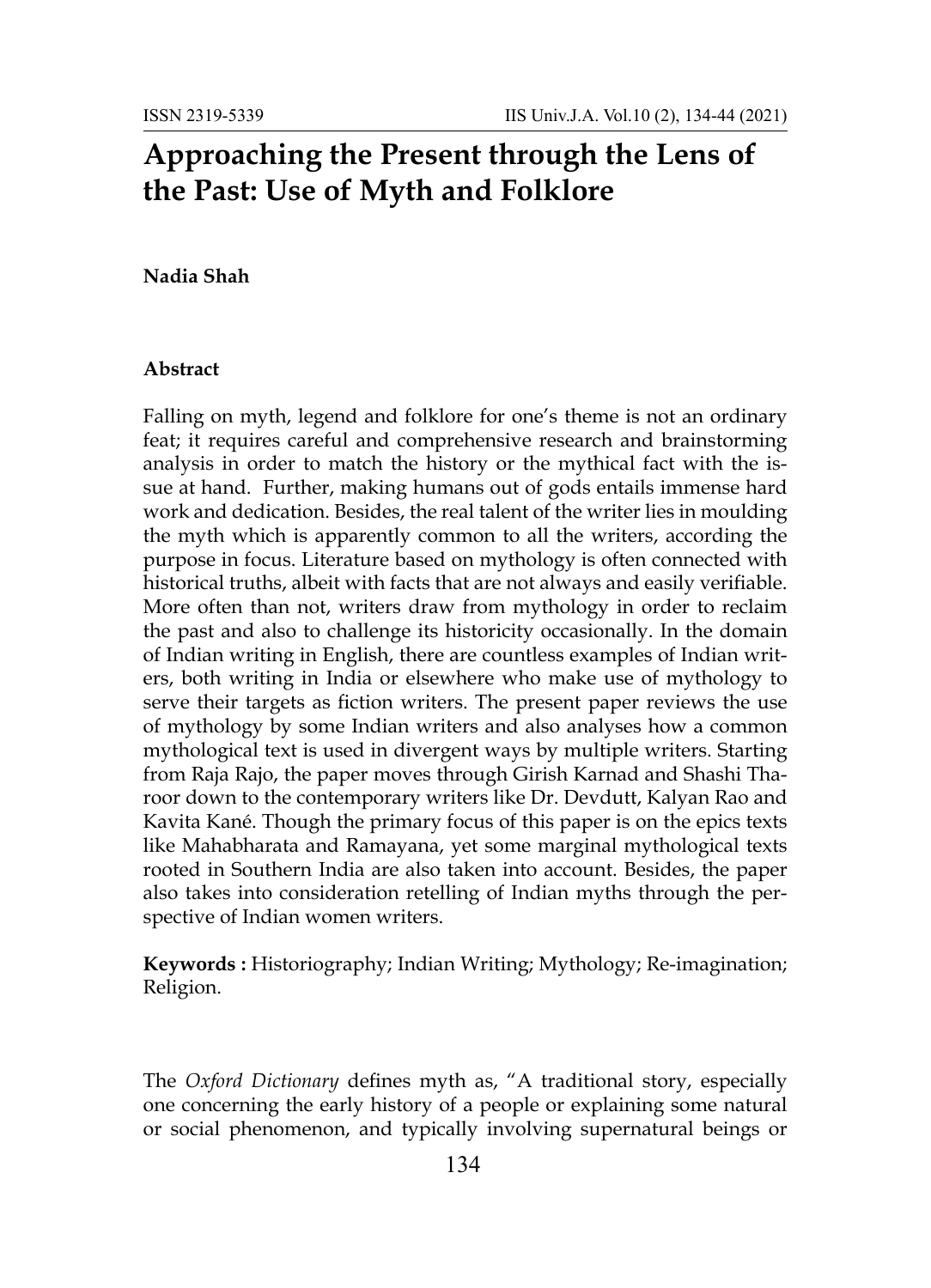# **Approaching the Present through the Lens of the Past: Use of Myth and Folklore**

## **Nadia Shah**

### **Abstract**

Falling on myth, legend and folklore for one's theme is not an ordinary feat; it requires careful and comprehensive research and brainstorming analysis in order to match the history or the mythical fact with the issue at hand. Further, making humans out of gods entails immense hard work and dedication. Besides, the real talent of the writer lies in moulding the myth which is apparently common to all the writers, according the purpose in focus. Literature based on mythology is often connected with historical truths, albeit with facts that are not always and easily verifiable. More often than not, writers draw from mythology in order to reclaim the past and also to challenge its historicity occasionally. In the domain of Indian writing in English, there are countless examples of Indian writers, both writing in India or elsewhere who make use of mythology to serve their targets as fiction writers. The present paper reviews the use of mythology by some Indian writers and also analyses how a common mythological text is used in divergent ways by multiple writers. Starting from Raja Rajo, the paper moves through Girish Karnad and Shashi Tharoor down to the contemporary writers like Dr. Devdutt, Kalyan Rao and Kavita Kané. Though the primary focus of this paper is on the epics texts like Mahabharata and Ramayana, yet some marginal mythological texts rooted in Southern India are also taken into account. Besides, the paper also takes into consideration retelling of Indian myths through the perspective of Indian women writers.

**Keywords :** Historiography; Indian Writing; Mythology; Re-imagination; Religion.

The *Oxford Dictionary* defines myth as, "A traditional story, especially one concerning the early history of a people or explaining some natural or social phenomenon, and typically involving supernatural beings or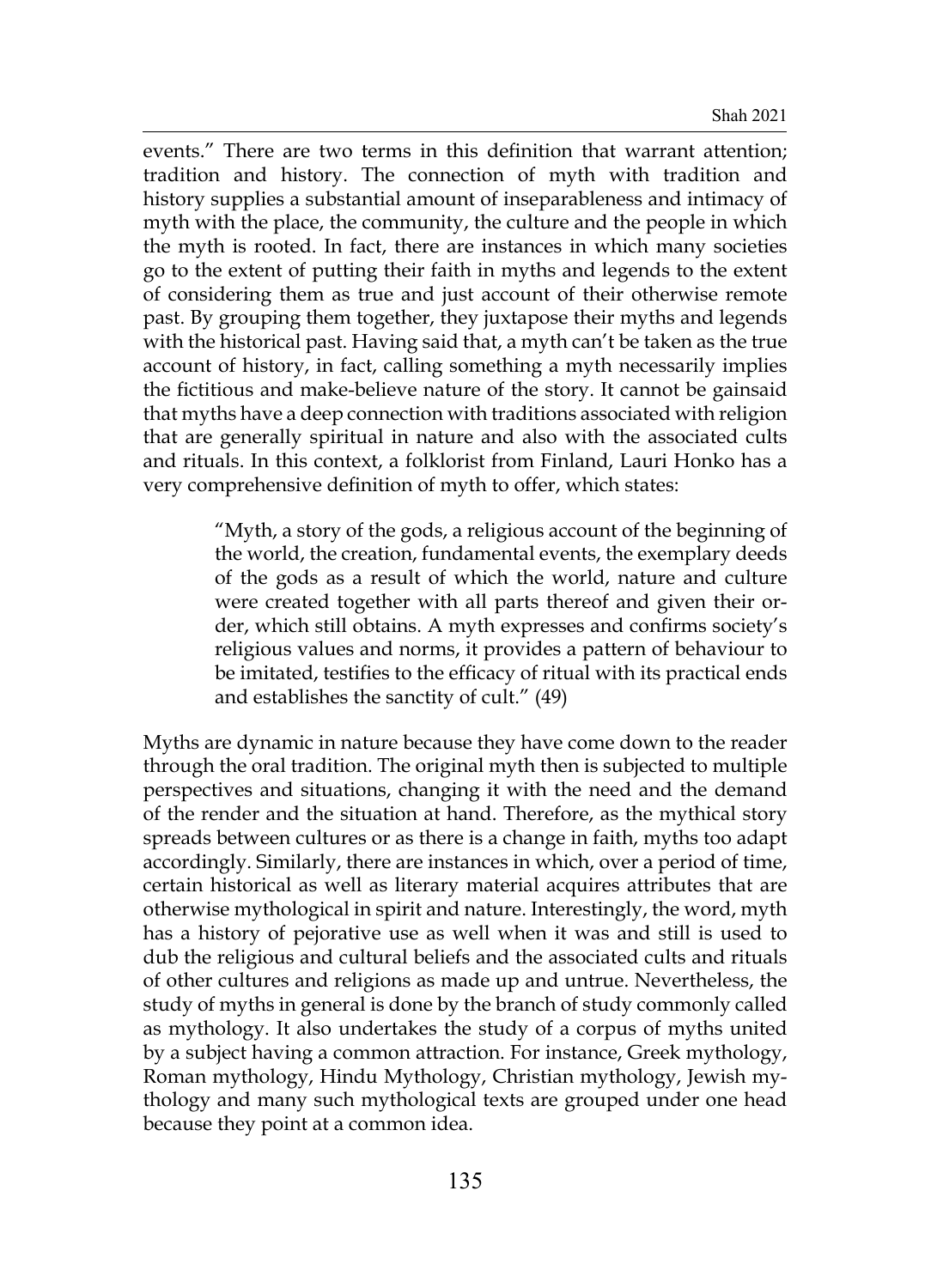events." There are two terms in this definition that warrant attention; tradition and history. The connection of myth with tradition and history supplies a substantial amount of inseparableness and intimacy of myth with the place, the community, the culture and the people in which the myth is rooted. In fact, there are instances in which many societies go to the extent of putting their faith in myths and legends to the extent of considering them as true and just account of their otherwise remote past. By grouping them together, they juxtapose their myths and legends with the historical past. Having said that, a myth can't be taken as the true account of history, in fact, calling something a myth necessarily implies the fictitious and make-believe nature of the story. It cannot be gainsaid that myths have a deep connection with traditions associated with religion that are generally spiritual in nature and also with the associated cults and rituals. In this context, a folklorist from Finland, Lauri Honko has a very comprehensive definition of myth to offer, which states:

> "Myth, a story of the gods, a religious account of the beginning of the world, the creation, fundamental events, the exemplary deeds of the gods as a result of which the world, nature and culture were created together with all parts thereof and given their order, which still obtains. A myth expresses and confirms society's religious values and norms, it provides a pattern of behaviour to be imitated, testifies to the efficacy of ritual with its practical ends and establishes the sanctity of cult." (49)

Myths are dynamic in nature because they have come down to the reader through the oral tradition. The original myth then is subjected to multiple perspectives and situations, changing it with the need and the demand of the render and the situation at hand. Therefore, as the mythical story spreads between cultures or as there is a change in faith, myths too adapt accordingly. Similarly, there are instances in which, over a period of time, certain historical as well as literary material acquires attributes that are otherwise mythological in spirit and nature. Interestingly, the word, myth has a history of pejorative use as well when it was and still is used to dub the religious and cultural beliefs and the associated cults and rituals of other cultures and religions as made up and untrue. Nevertheless, the study of myths in general is done by the branch of study commonly called as mythology. It also undertakes the study of a corpus of myths united by a subject having a common attraction. For instance, Greek mythology, Roman mythology, Hindu Mythology, Christian mythology, Jewish mythology and many such mythological texts are grouped under one head because they point at a common idea.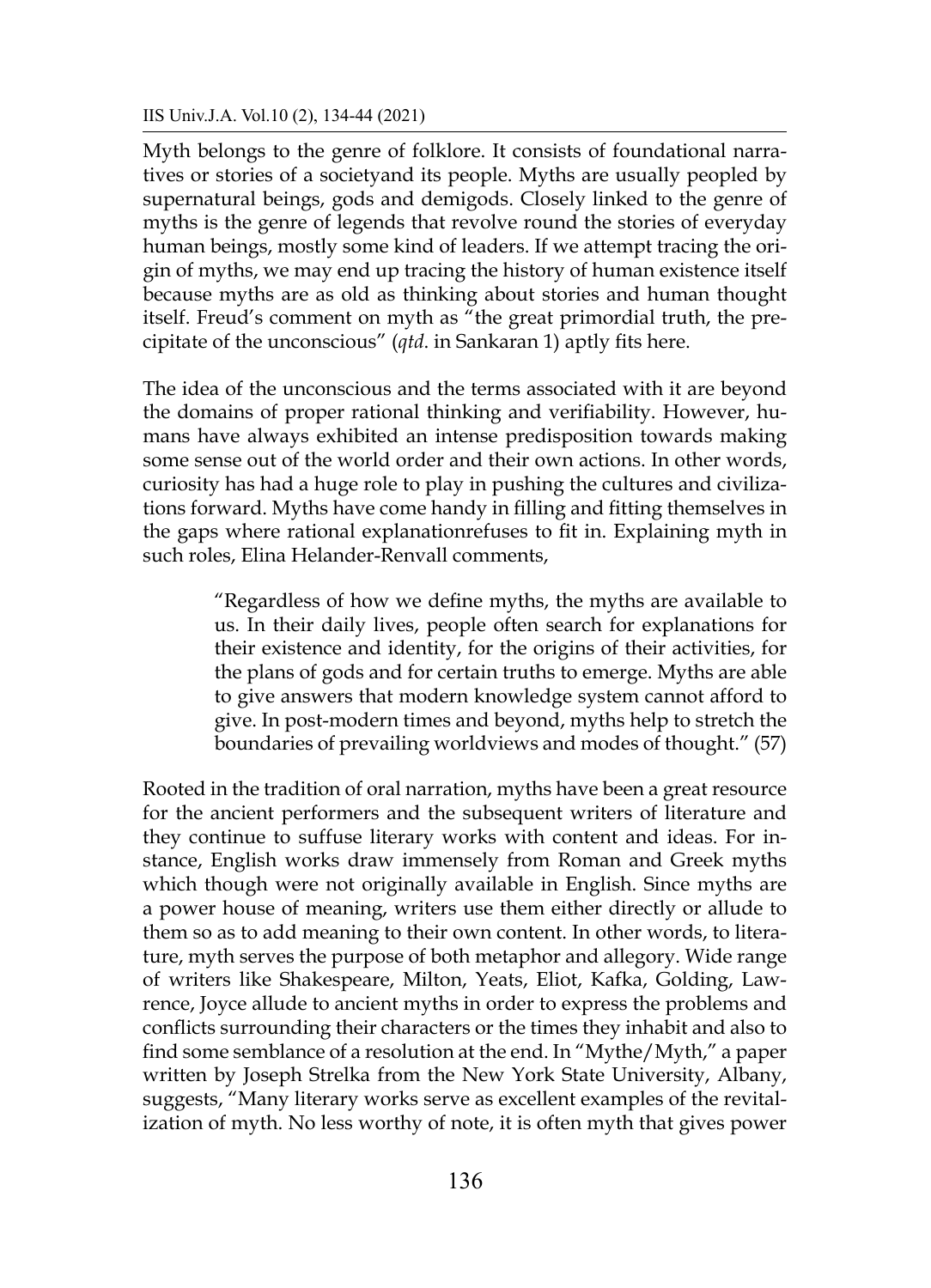## IIS Univ.J.A. Vol.10 (2), 134-44 (2021)

Myth belongs to the genre of folklore. It consists of foundational narratives or stories of a societyand its people. Myths are usually peopled by supernatural beings, gods and demigods. Closely linked to the genre of myths is the genre of legends that revolve round the stories of everyday human beings, mostly some kind of leaders. If we attempt tracing the origin of myths, we may end up tracing the history of human existence itself because myths are as old as thinking about stories and human thought itself. Freud's comment on myth as "the great primordial truth, the precipitate of the unconscious" (*qtd*. in Sankaran 1) aptly fits here.

The idea of the unconscious and the terms associated with it are beyond the domains of proper rational thinking and verifiability. However, humans have always exhibited an intense predisposition towards making some sense out of the world order and their own actions. In other words, curiosity has had a huge role to play in pushing the cultures and civilizations forward. Myths have come handy in filling and fitting themselves in the gaps where rational explanationrefuses to fit in. Explaining myth in such roles, Elina Helander-Renvall comments,

> "Regardless of how we define myths, the myths are available to us. In their daily lives, people often search for explanations for their existence and identity, for the origins of their activities, for the plans of gods and for certain truths to emerge. Myths are able to give answers that modern knowledge system cannot afford to give. In post-modern times and beyond, myths help to stretch the boundaries of prevailing worldviews and modes of thought." (57)

Rooted in the tradition of oral narration, myths have been a great resource for the ancient performers and the subsequent writers of literature and they continue to suffuse literary works with content and ideas. For instance, English works draw immensely from Roman and Greek myths which though were not originally available in English. Since myths are a power house of meaning, writers use them either directly or allude to them so as to add meaning to their own content. In other words, to literature, myth serves the purpose of both metaphor and allegory. Wide range of writers like Shakespeare, Milton, Yeats, Eliot, Kafka, Golding, Lawrence, Joyce allude to ancient myths in order to express the problems and conflicts surrounding their characters or the times they inhabit and also to find some semblance of a resolution at the end. In "Mythe/Myth," a paper written by Joseph Strelka from the New York State University, Albany, suggests, "Many literary works serve as excellent examples of the revitalization of myth. No less worthy of note, it is often myth that gives power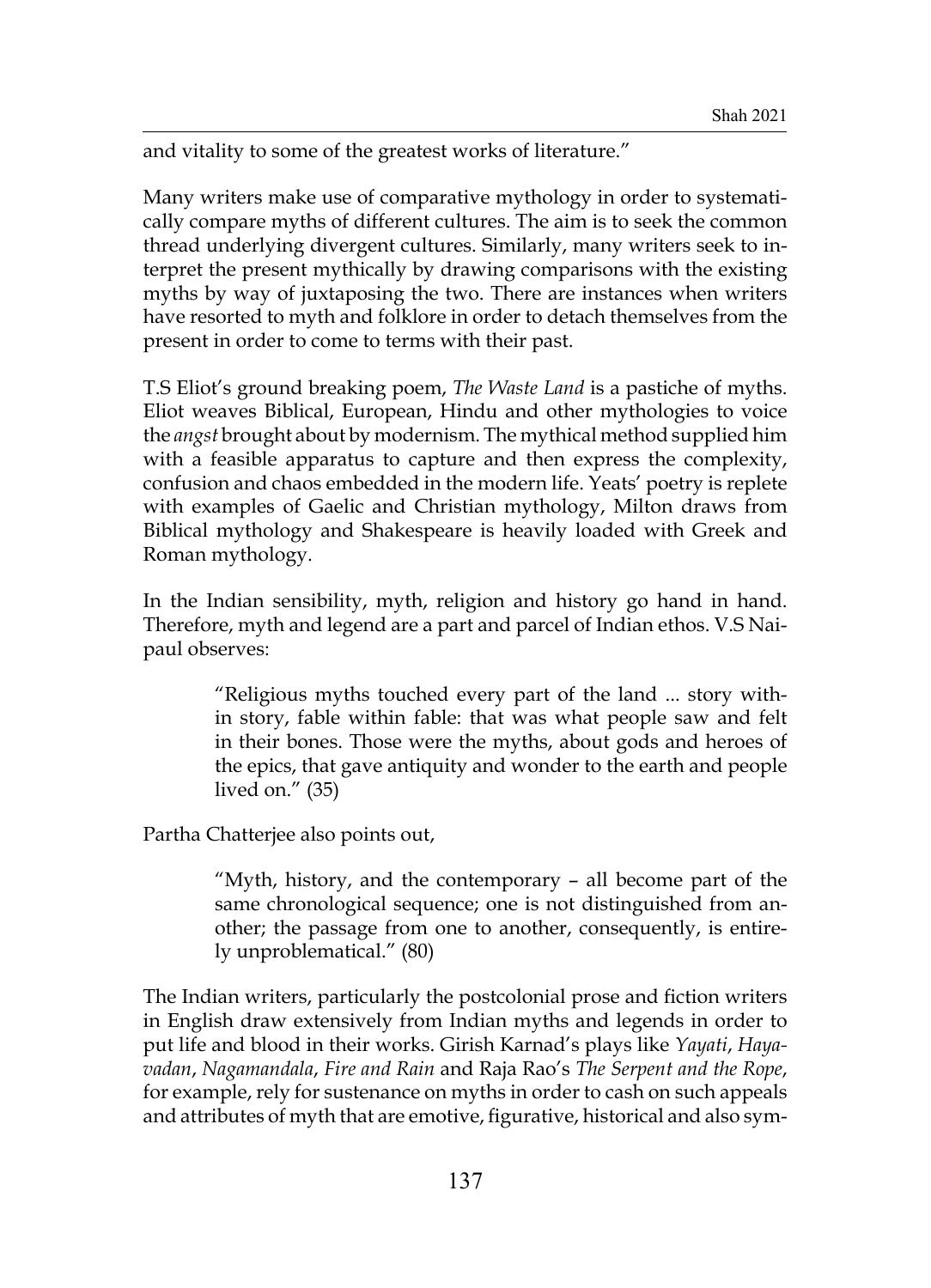and vitality to some of the greatest works of literature."

Many writers make use of comparative mythology in order to systematically compare myths of different cultures. The aim is to seek the common thread underlying divergent cultures. Similarly, many writers seek to interpret the present mythically by drawing comparisons with the existing myths by way of juxtaposing the two. There are instances when writers have resorted to myth and folklore in order to detach themselves from the present in order to come to terms with their past.

T.S Eliot's ground breaking poem, *The Waste Land* is a pastiche of myths. Eliot weaves Biblical, European, Hindu and other mythologies to voice the *angst* brought about by modernism. The mythical method supplied him with a feasible apparatus to capture and then express the complexity, confusion and chaos embedded in the modern life. Yeats' poetry is replete with examples of Gaelic and Christian mythology, Milton draws from Biblical mythology and Shakespeare is heavily loaded with Greek and Roman mythology.

In the Indian sensibility, myth, religion and history go hand in hand. Therefore, myth and legend are a part and parcel of Indian ethos. V.S Naipaul observes:

> "Religious myths touched every part of the land ... story within story, fable within fable: that was what people saw and felt in their bones. Those were the myths, about gods and heroes of the epics, that gave antiquity and wonder to the earth and people lived on." (35)

Partha Chatterjee also points out,

"Myth, history, and the contemporary – all become part of the same chronological sequence; one is not distinguished from another; the passage from one to another, consequently, is entirely unproblematical." (80)

The Indian writers, particularly the postcolonial prose and fiction writers in English draw extensively from Indian myths and legends in order to put life and blood in their works. Girish Karnad's plays like *Yayati*, *Hayavadan*, *Nagamandala*, *Fire and Rain* and Raja Rao's *The Serpent and the Rope*, for example, rely for sustenance on myths in order to cash on such appeals and attributes of myth that are emotive, figurative, historical and also sym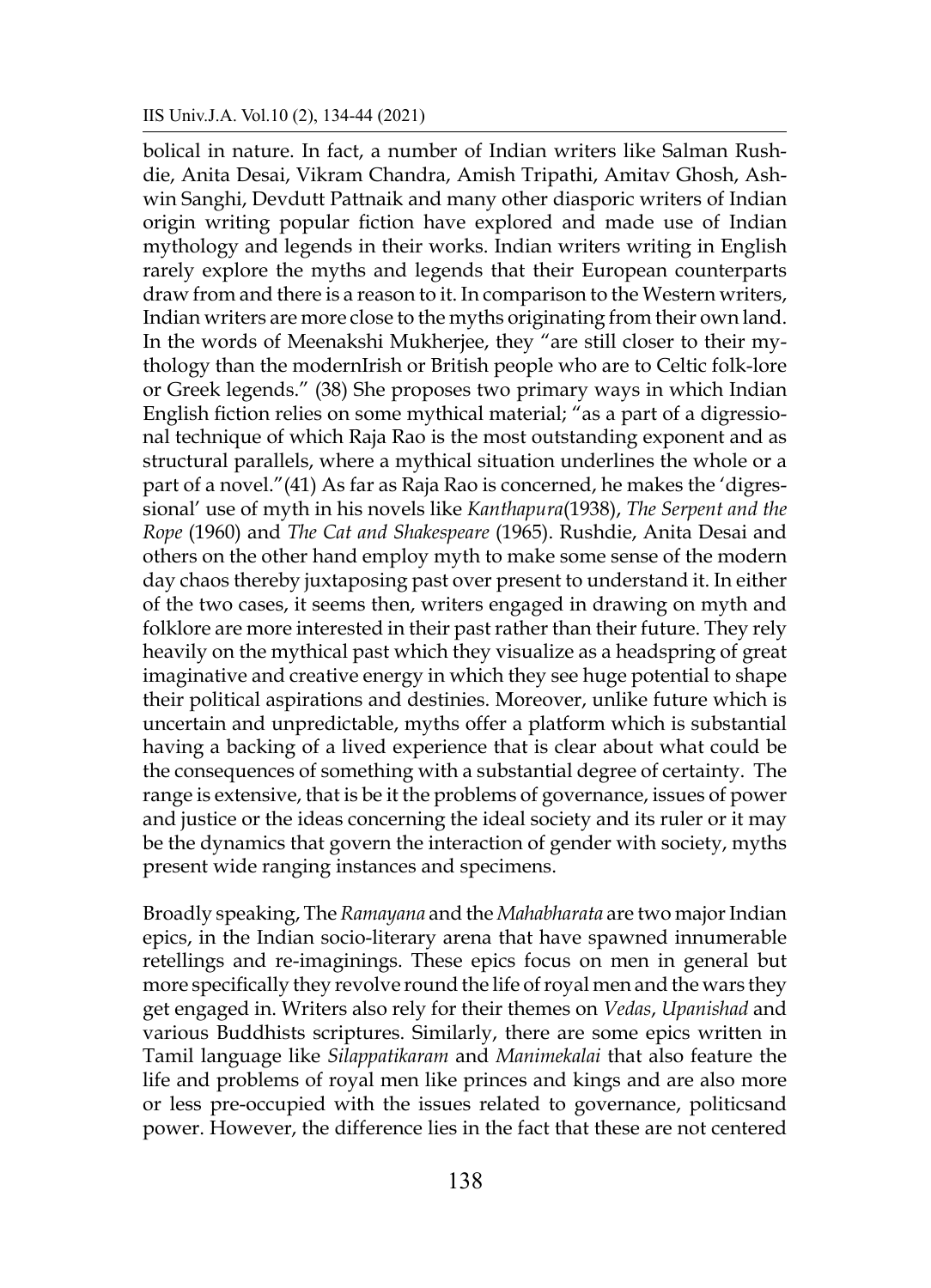bolical in nature. In fact, a number of Indian writers like Salman Rushdie, Anita Desai, Vikram Chandra, Amish Tripathi, Amitav Ghosh, Ashwin Sanghi, Devdutt Pattnaik and many other diasporic writers of Indian origin writing popular fiction have explored and made use of Indian mythology and legends in their works. Indian writers writing in English rarely explore the myths and legends that their European counterparts draw from and there is a reason to it. In comparison to the Western writers, Indian writers are more close to the myths originating from their own land. In the words of Meenakshi Mukherjee, they "are still closer to their mythology than the modernIrish or British people who are to Celtic folk-lore or Greek legends." (38) She proposes two primary ways in which Indian English fiction relies on some mythical material; "as a part of a digressional technique of which Raja Rao is the most outstanding exponent and as structural parallels, where a mythical situation underlines the whole or a part of a novel."(41) As far as Raja Rao is concerned, he makes the 'digressional' use of myth in his novels like *Kanthapura*(1938), *The Serpent and the Rope* (1960) and *The Cat and Shakespeare* (1965). Rushdie, Anita Desai and others on the other hand employ myth to make some sense of the modern day chaos thereby juxtaposing past over present to understand it. In either of the two cases, it seems then, writers engaged in drawing on myth and folklore are more interested in their past rather than their future. They rely heavily on the mythical past which they visualize as a headspring of great imaginative and creative energy in which they see huge potential to shape their political aspirations and destinies. Moreover, unlike future which is uncertain and unpredictable, myths offer a platform which is substantial having a backing of a lived experience that is clear about what could be the consequences of something with a substantial degree of certainty. The range is extensive, that is be it the problems of governance, issues of power and justice or the ideas concerning the ideal society and its ruler or it may be the dynamics that govern the interaction of gender with society, myths present wide ranging instances and specimens.

Broadly speaking, The *Ramayana* and the *Mahabharata* are two major Indian epics, in the Indian socio-literary arena that have spawned innumerable retellings and re-imaginings. These epics focus on men in general but more specifically they revolve round the life of royal men and the wars they get engaged in. Writers also rely for their themes on *Vedas*, *Upanishad* and various Buddhists scriptures. Similarly, there are some epics written in Tamil language like *Silappatikaram* and *Manimekalai* that also feature the life and problems of royal men like princes and kings and are also more or less pre-occupied with the issues related to governance, politicsand power. However, the difference lies in the fact that these are not centered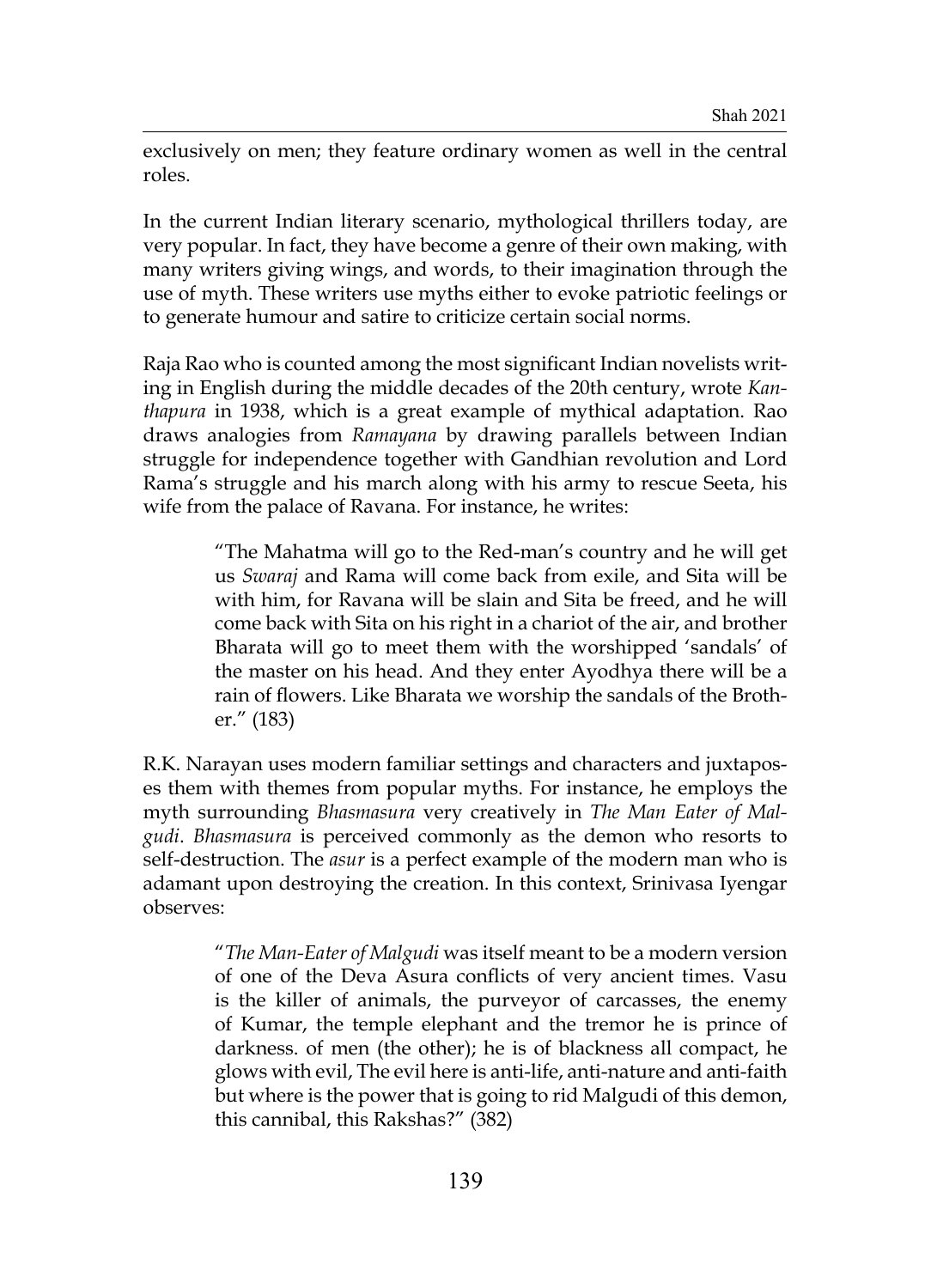exclusively on men; they feature ordinary women as well in the central roles.

In the current Indian literary scenario, mythological thrillers today, are very popular. In fact, they have become a genre of their own making, with many writers giving wings, and words, to their imagination through the use of myth. These writers use myths either to evoke patriotic feelings or to generate humour and satire to criticize certain social norms.

Raja Rao who is counted among the most significant Indian novelists writing in English during the middle decades of the 20th century, wrote *Kanthapura* in 1938, which is a great example of mythical adaptation. Rao draws analogies from *Ramayana* by drawing parallels between Indian struggle for independence together with Gandhian revolution and Lord Rama's struggle and his march along with his army to rescue Seeta, his wife from the palace of Ravana. For instance, he writes:

> "The Mahatma will go to the Red-man's country and he will get us *Swaraj* and Rama will come back from exile, and Sita will be with him, for Ravana will be slain and Sita be freed, and he will come back with Sita on his right in a chariot of the air, and brother Bharata will go to meet them with the worshipped 'sandals' of the master on his head. And they enter Ayodhya there will be a rain of flowers. Like Bharata we worship the sandals of the Brother." (183)

R.K. Narayan uses modern familiar settings and characters and juxtaposes them with themes from popular myths. For instance, he employs the myth surrounding *Bhasmasura* very creatively in *The Man Eater of Malgudi*. *Bhasmasura* is perceived commonly as the demon who resorts to self-destruction. The *asur* is a perfect example of the modern man who is adamant upon destroying the creation. In this context, Srinivasa Iyengar observes:

> "*The Man-Eater of Malgudi* was itself meant to be a modern version of one of the Deva Asura conflicts of very ancient times. Vasu is the killer of animals, the purveyor of carcasses, the enemy of Kumar, the temple elephant and the tremor he is prince of darkness. of men (the other); he is of blackness all compact, he glows with evil, The evil here is anti-life, anti-nature and anti-faith but where is the power that is going to rid Malgudi of this demon, this cannibal, this Rakshas?" (382)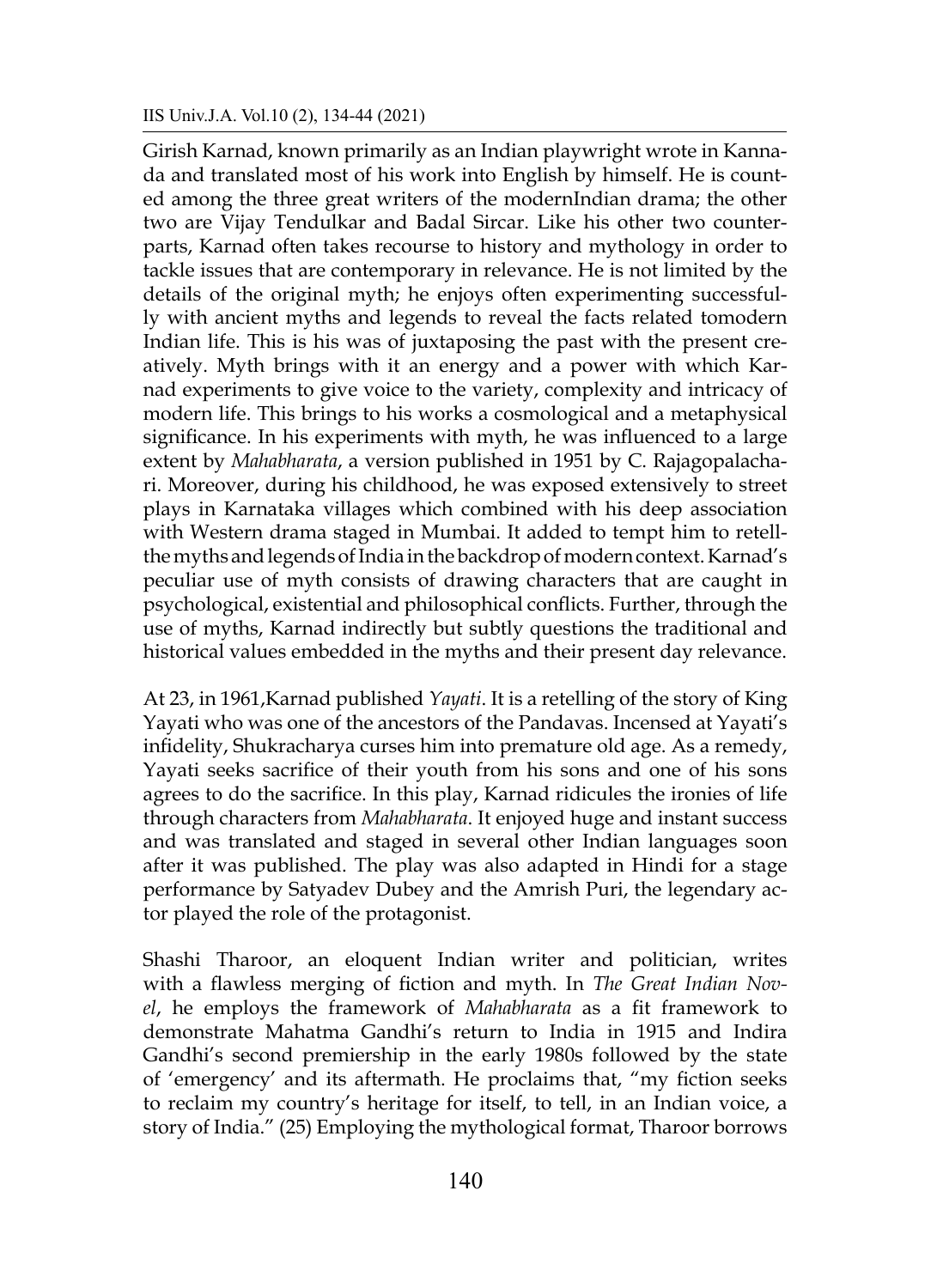### IIS Univ.J.A. Vol.10 (2), 134-44 (2021)

Girish Karnad, known primarily as an Indian playwright wrote in Kannada and translated most of his work into English by himself. He is counted among the three great writers of the modernIndian drama; the other two are Vijay Tendulkar and Badal Sircar. Like his other two counterparts, Karnad often takes recourse to history and mythology in order to tackle issues that are contemporary in relevance. He is not limited by the details of the original myth; he enjoys often experimenting successfully with ancient myths and legends to reveal the facts related tomodern Indian life. This is his was of juxtaposing the past with the present creatively. Myth brings with it an energy and a power with which Karnad experiments to give voice to the variety, complexity and intricacy of modern life. This brings to his works a cosmological and a metaphysical significance. In his experiments with myth, he was influenced to a large extent by *Mahabharata*, a version published in 1951 by C. Rajagopalachari. Moreover, during his childhood, he was exposed extensively to street plays in Karnataka villages which combined with his deep association with Western drama staged in Mumbai. It added to tempt him to retellthe myths and legends of India in the backdrop of modern context. Karnad's peculiar use of myth consists of drawing characters that are caught in psychological, existential and philosophical conflicts. Further, through the use of myths, Karnad indirectly but subtly questions the traditional and historical values embedded in the myths and their present day relevance.

At 23, in 1961,Karnad published *Yayati*. It is a retelling of the story of King Yayati who was one of the ancestors of the Pandavas. Incensed at Yayati's infidelity, Shukracharya curses him into premature old age. As a remedy, Yayati seeks sacrifice of their youth from his sons and one of his sons agrees to do the sacrifice. In this play, Karnad ridicules the ironies of life through characters from *Mahabharata*. It enjoyed huge and instant success and was translated and staged in several other Indian languages soon after it was published. The play was also adapted in Hindi for a stage performance by Satyadev Dubey and the Amrish Puri, the legendary actor played the role of the protagonist.

Shashi Tharoor, an eloquent Indian writer and politician, writes with a flawless merging of fiction and myth. In *The Great Indian Novel*, he employs the framework of *Mahabharata* as a fit framework to demonstrate Mahatma Gandhi's return to India in 1915 and Indira Gandhi's second premiership in the early 1980s followed by the state of 'emergency' and its aftermath. He proclaims that, "my fiction seeks to reclaim my country's heritage for itself, to tell, in an Indian voice, a story of India." (25) Employing the mythological format, Tharoor borrows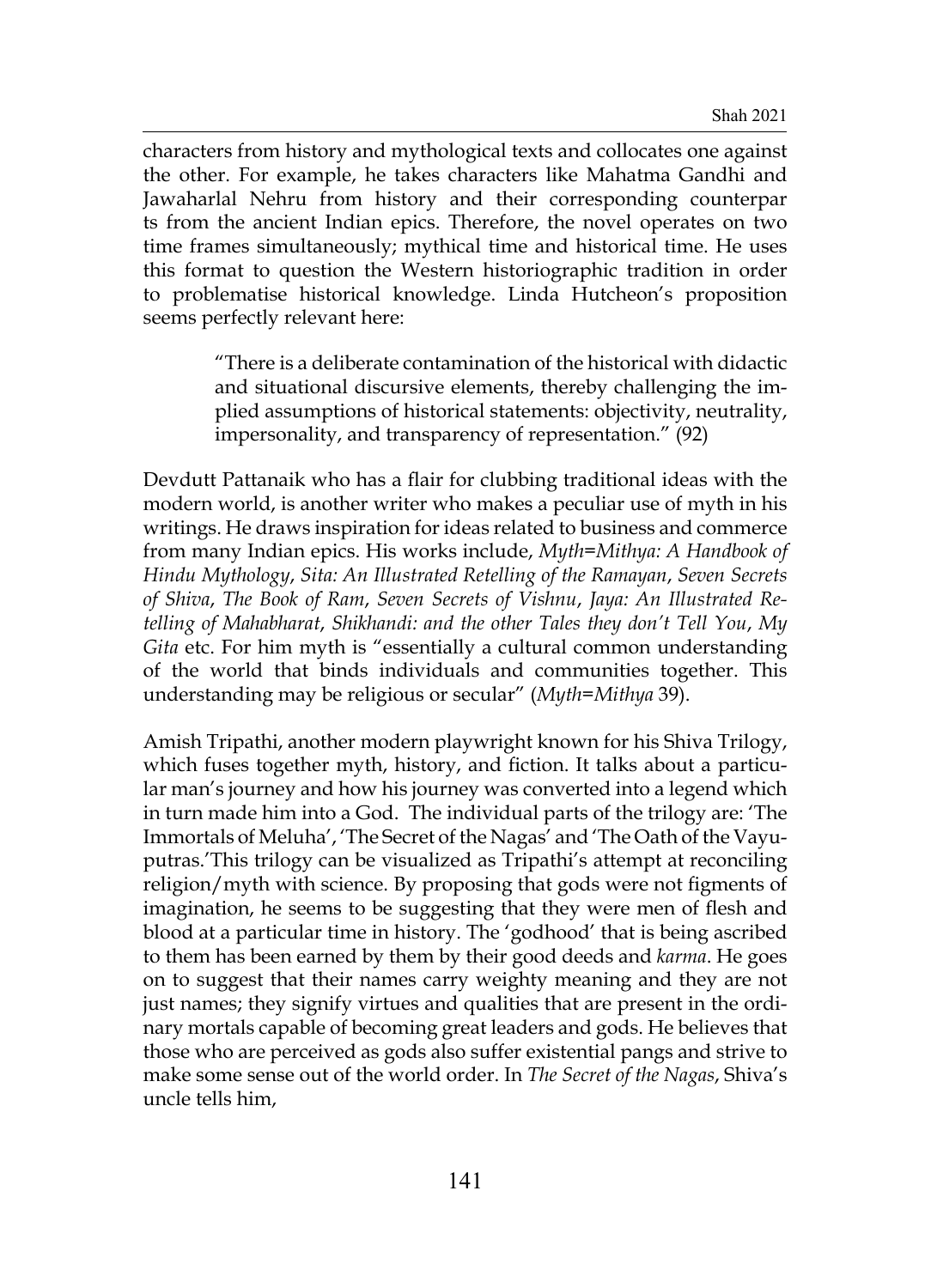characters from history and mythological texts and collocates one against the other. For example, he takes characters like Mahatma Gandhi and Jawaharlal Nehru from history and their corresponding counterpar ts from the ancient Indian epics. Therefore, the novel operates on two time frames simultaneously; mythical time and historical time. He uses this format to question the Western historiographic tradition in order to problematise historical knowledge. Linda Hutcheon's proposition seems perfectly relevant here:

> "There is a deliberate contamination of the historical with didactic and situational discursive elements, thereby challenging the implied assumptions of historical statements: objectivity, neutrality, impersonality, and transparency of representation." (92)

Devdutt Pattanaik who has a flair for clubbing traditional ideas with the modern world, is another writer who makes a peculiar use of myth in his writings. He draws inspiration for ideas related to business and commerce from many Indian epics. His works include, *Myth=Mithya: A Handbook of Hindu Mythology*, *Sita: An Illustrated Retelling of the Ramayan*, *Seven Secrets of Shiva*, *The Book of Ram*, *Seven Secrets of Vishnu*, *Jaya: An Illustrated Retelling of Mahabharat*, *Shikhandi: and the other Tales they don't Tell You*, *My Gita* etc. For him myth is "essentially a cultural common understanding of the world that binds individuals and communities together. This understanding may be religious or secular" (*Myth=Mithya* 39).

Amish Tripathi, another modern playwright known for his Shiva Trilogy, which fuses together myth, history, and fiction. It talks about a particular man's journey and how his journey was converted into a legend which in turn made him into a God. The individual parts of the trilogy are: 'The Immortals of Meluha', 'The Secret of the Nagas' and 'The Oath of the Vayuputras.'This trilogy can be visualized as Tripathi's attempt at reconciling religion/myth with science. By proposing that gods were not figments of imagination, he seems to be suggesting that they were men of flesh and blood at a particular time in history. The 'godhood' that is being ascribed to them has been earned by them by their good deeds and *karma*. He goes on to suggest that their names carry weighty meaning and they are not just names; they signify virtues and qualities that are present in the ordinary mortals capable of becoming great leaders and gods. He believes that those who are perceived as gods also suffer existential pangs and strive to make some sense out of the world order. In *The Secret of the Nagas*, Shiva's uncle tells him,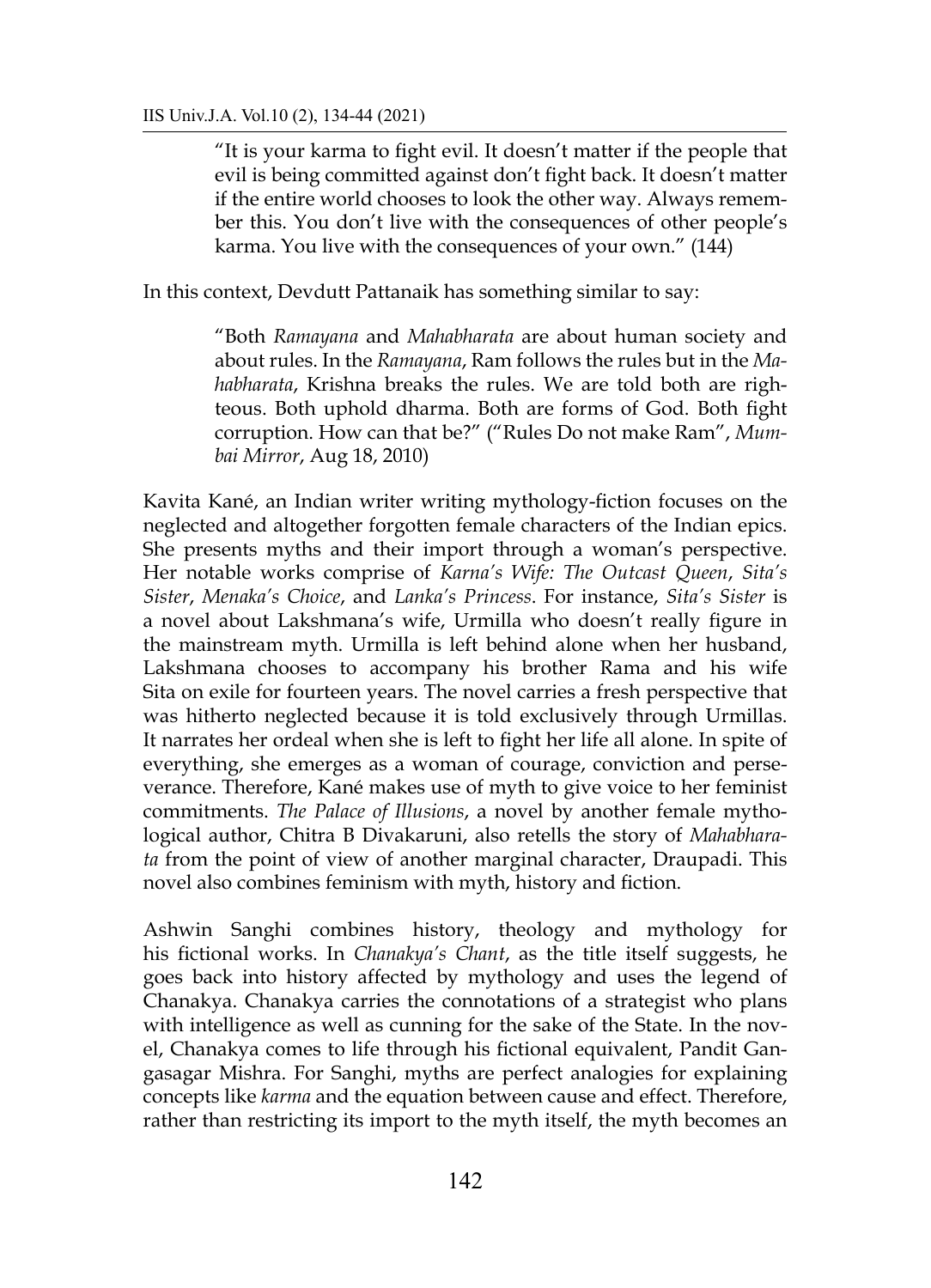"It is your karma to fight evil. It doesn't matter if the people that evil is being committed against don't fight back. It doesn't matter if the entire world chooses to look the other way. Always remember this. You don't live with the consequences of other people's karma. You live with the consequences of your own." (144)

In this context, Devdutt Pattanaik has something similar to say:

"Both *Ramayana* and *Mahabharata* are about human society and about rules. In the *Ramayana*, Ram follows the rules but in the *Mahabharata*, Krishna breaks the rules. We are told both are righteous. Both uphold dharma. Both are forms of God. Both fight corruption. How can that be?" ("Rules Do not make Ram", *Mumbai Mirror*, Aug 18, 2010)

Kavita Kané, an Indian writer writing mythology-fiction focuses on the neglected and altogether forgotten female characters of the Indian epics. She presents myths and their import through a woman's perspective. Her notable works comprise of *Karna's Wife: The Outcast Queen*, *Sita's Sister*, *Menaka's Choice*, and *Lanka's Princess*. For instance, *Sita's Sister* is a novel about Lakshmana's wife, Urmilla who doesn't really figure in the mainstream myth. Urmilla is left behind alone when her husband, Lakshmana chooses to accompany his brother Rama and his wife Sita on exile for fourteen years. The novel carries a fresh perspective that was hitherto neglected because it is told exclusively through Urmillas. It narrates her ordeal when she is left to fight her life all alone. In spite of everything, she emerges as a woman of courage, conviction and perseverance. Therefore, Kané makes use of myth to give voice to her feminist commitments. *The Palace of Illusions*, a novel by another female mythological author, Chitra B Divakaruni, also retells the story of *Mahabharata* from the point of view of another marginal character, Draupadi. This novel also combines feminism with myth, history and fiction.

Ashwin Sanghi combines history, theology and mythology for his fictional works. In *Chanakya's Chant*, as the title itself suggests, he goes back into history affected by mythology and uses the legend of Chanakya. Chanakya carries the connotations of a strategist who plans with intelligence as well as cunning for the sake of the State. In the novel, Chanakya comes to life through his fictional equivalent, Pandit Gangasagar Mishra. For Sanghi, myths are perfect analogies for explaining concepts like *karma* and the equation between cause and effect. Therefore, rather than restricting its import to the myth itself, the myth becomes an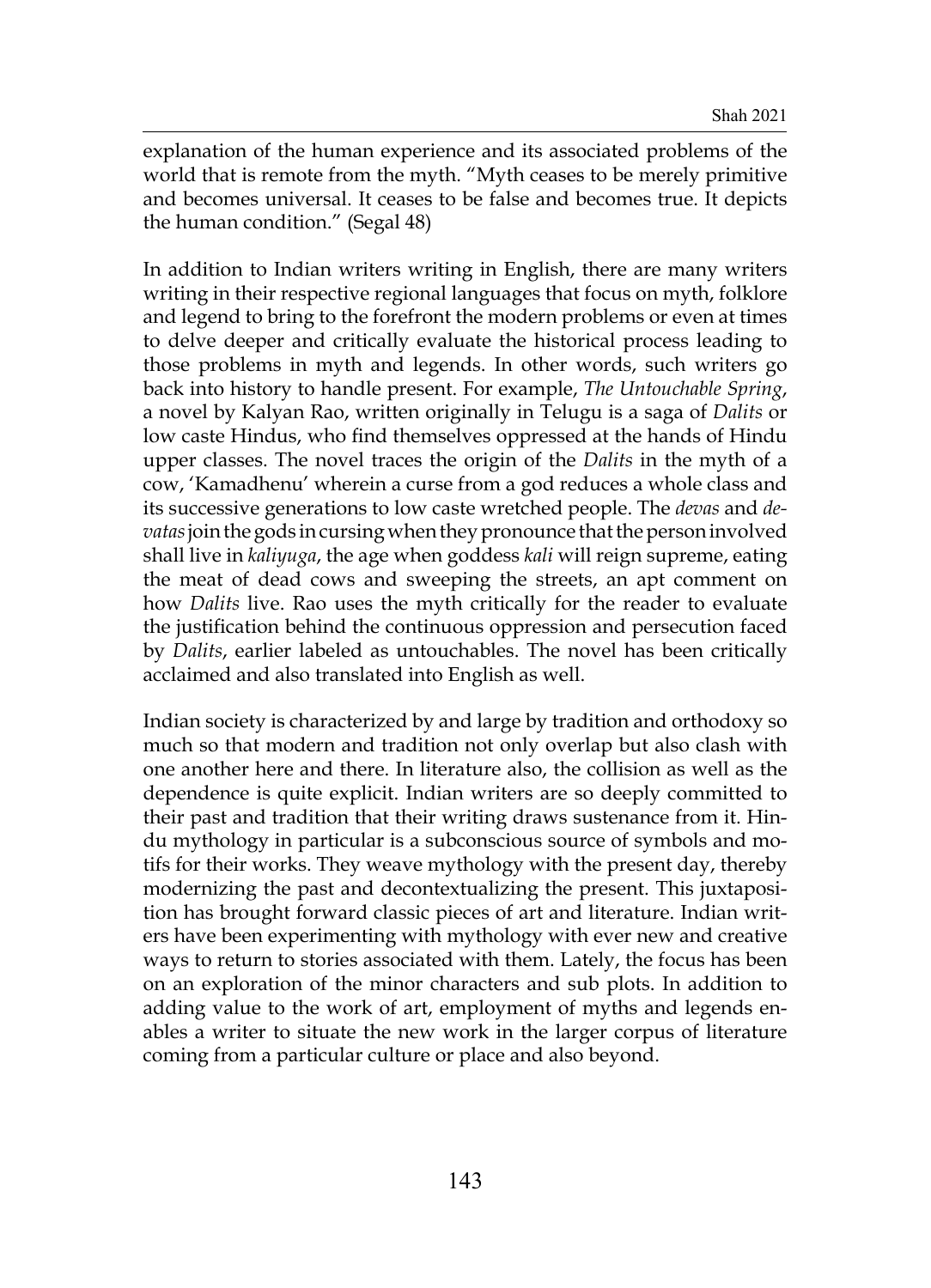explanation of the human experience and its associated problems of the world that is remote from the myth. "Myth ceases to be merely primitive and becomes universal. It ceases to be false and becomes true. It depicts the human condition." (Segal 48)

In addition to Indian writers writing in English, there are many writers writing in their respective regional languages that focus on myth, folklore and legend to bring to the forefront the modern problems or even at times to delve deeper and critically evaluate the historical process leading to those problems in myth and legends. In other words, such writers go back into history to handle present. For example, *The Untouchable Spring*, a novel by Kalyan Rao, written originally in Telugu is a saga of *Dalits* or low caste Hindus, who find themselves oppressed at the hands of Hindu upper classes. The novel traces the origin of the *Dalits* in the myth of a cow, 'Kamadhenu' wherein a curse from a god reduces a whole class and its successive generations to low caste wretched people. The *devas* and *devatas*join the gods in cursing when they pronounce that the person involved shall live in *kaliyuga*, the age when goddess *kali* will reign supreme, eating the meat of dead cows and sweeping the streets, an apt comment on how *Dalits* live. Rao uses the myth critically for the reader to evaluate the justification behind the continuous oppression and persecution faced by *Dalits*, earlier labeled as untouchables. The novel has been critically acclaimed and also translated into English as well.

Indian society is characterized by and large by tradition and orthodoxy so much so that modern and tradition not only overlap but also clash with one another here and there. In literature also, the collision as well as the dependence is quite explicit. Indian writers are so deeply committed to their past and tradition that their writing draws sustenance from it. Hindu mythology in particular is a subconscious source of symbols and motifs for their works. They weave mythology with the present day, thereby modernizing the past and decontextualizing the present. This juxtaposition has brought forward classic pieces of art and literature. Indian writers have been experimenting with mythology with ever new and creative ways to return to stories associated with them. Lately, the focus has been on an exploration of the minor characters and sub plots. In addition to adding value to the work of art, employment of myths and legends enables a writer to situate the new work in the larger corpus of literature coming from a particular culture or place and also beyond.